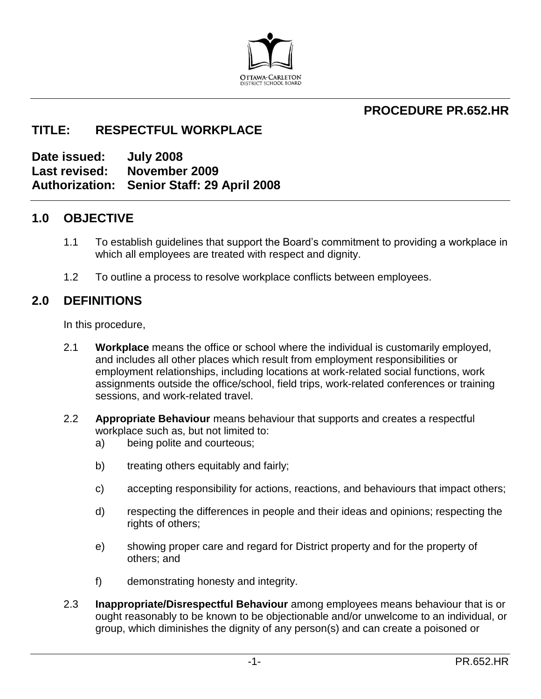

## **PROCEDURE PR.652.HR**

## **TITLE: RESPECTFUL WORKPLACE**

**Date issued: July 2008 Last revised: November 2009 Authorization: Senior Staff: 29 April 2008**

## **1.0 OBJECTIVE**

- 1.1 To establish guidelines that support the Board's commitment to providing a workplace in which all employees are treated with respect and dignity.
- 1.2 To outline a process to resolve workplace conflicts between employees.

## **2.0 DEFINITIONS**

In this procedure,

- 2.1 **Workplace** means the office or school where the individual is customarily employed, and includes all other places which result from employment responsibilities or employment relationships, including locations at work-related social functions, work assignments outside the office/school, field trips, work-related conferences or training sessions, and work-related travel.
- 2.2 **Appropriate Behaviour** means behaviour that supports and creates a respectful workplace such as, but not limited to:
	- a) being polite and courteous;
	- b) treating others equitably and fairly;
	- c) accepting responsibility for actions, reactions, and behaviours that impact others;
	- d) respecting the differences in people and their ideas and opinions; respecting the rights of others;
	- e) showing proper care and regard for District property and for the property of others; and
	- f) demonstrating honesty and integrity.
- 2.3 **Inappropriate/Disrespectful Behaviour** among employees means behaviour that is or ought reasonably to be known to be objectionable and/or unwelcome to an individual, or group, which diminishes the dignity of any person(s) and can create a poisoned or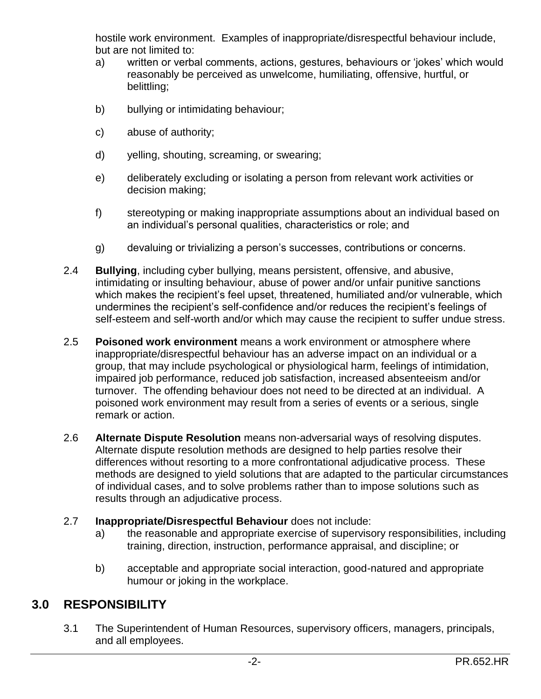hostile work environment. Examples of inappropriate/disrespectful behaviour include, but are not limited to:

- a) written or verbal comments, actions, gestures, behaviours or 'jokes' which would reasonably be perceived as unwelcome, humiliating, offensive, hurtful, or belittling;
- b) bullying or intimidating behaviour;
- c) abuse of authority;
- d) yelling, shouting, screaming, or swearing;
- e) deliberately excluding or isolating a person from relevant work activities or decision making;
- f) stereotyping or making inappropriate assumptions about an individual based on an individual's personal qualities, characteristics or role; and
- g) devaluing or trivializing a person's successes, contributions or concerns.
- 2.4 **Bullying**, including cyber bullying, means persistent, offensive, and abusive, intimidating or insulting behaviour, abuse of power and/or unfair punitive sanctions which makes the recipient's feel upset, threatened, humiliated and/or vulnerable, which undermines the recipient's self-confidence and/or reduces the recipient's feelings of self-esteem and self-worth and/or which may cause the recipient to suffer undue stress.
- 2.5 **Poisoned work environment** means a work environment or atmosphere where inappropriate/disrespectful behaviour has an adverse impact on an individual or a group, that may include psychological or physiological harm, feelings of intimidation, impaired job performance, reduced job satisfaction, increased absenteeism and/or turnover. The offending behaviour does not need to be directed at an individual. A poisoned work environment may result from a series of events or a serious, single remark or action.
- 2.6 **Alternate Dispute Resolution** means non-adversarial ways of resolving disputes. Alternate dispute resolution methods are designed to help parties resolve their differences without resorting to a more confrontational adjudicative process. These methods are designed to yield solutions that are adapted to the particular circumstances of individual cases, and to solve problems rather than to impose solutions such as results through an adjudicative process.
- 2.7 **Inappropriate/Disrespectful Behaviour** does not include:
	- a) the reasonable and appropriate exercise of supervisory responsibilities, including training, direction, instruction, performance appraisal, and discipline; or
	- b) acceptable and appropriate social interaction, good-natured and appropriate humour or joking in the workplace.

# **3.0 RESPONSIBILITY**

3.1 The Superintendent of Human Resources, supervisory officers, managers, principals, and all employees.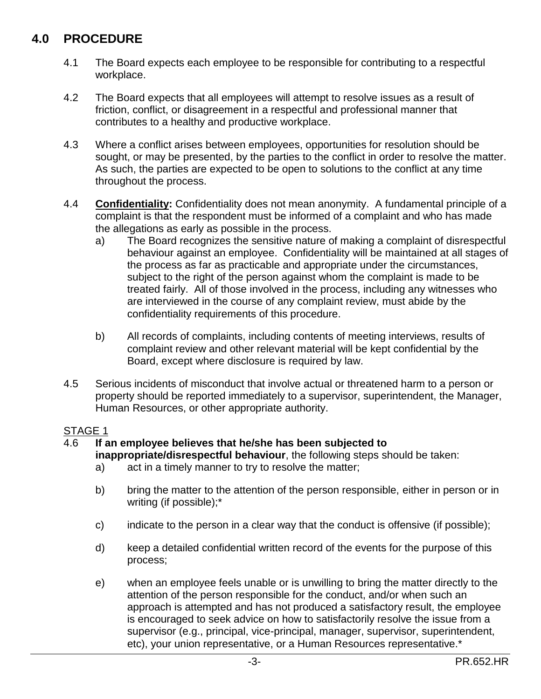# **4.0 PROCEDURE**

- 4.1 The Board expects each employee to be responsible for contributing to a respectful workplace.
- 4.2 The Board expects that all employees will attempt to resolve issues as a result of friction, conflict, or disagreement in a respectful and professional manner that contributes to a healthy and productive workplace.
- 4.3 Where a conflict arises between employees, opportunities for resolution should be sought, or may be presented, by the parties to the conflict in order to resolve the matter. As such, the parties are expected to be open to solutions to the conflict at any time throughout the process.
- 4.4 **Confidentiality:** Confidentiality does not mean anonymity. A fundamental principle of a complaint is that the respondent must be informed of a complaint and who has made the allegations as early as possible in the process.
	- a) The Board recognizes the sensitive nature of making a complaint of disrespectful behaviour against an employee. Confidentiality will be maintained at all stages of the process as far as practicable and appropriate under the circumstances, subject to the right of the person against whom the complaint is made to be treated fairly. All of those involved in the process, including any witnesses who are interviewed in the course of any complaint review, must abide by the confidentiality requirements of this procedure.
	- b) All records of complaints, including contents of meeting interviews, results of complaint review and other relevant material will be kept confidential by the Board, except where disclosure is required by law.
- 4.5 Serious incidents of misconduct that involve actual or threatened harm to a person or property should be reported immediately to a supervisor, superintendent, the Manager, Human Resources, or other appropriate authority.

### STAGE 1

### 4.6 **If an employee believes that he/she has been subjected to**

**inappropriate/disrespectful behaviour**, the following steps should be taken:

- a) act in a timely manner to try to resolve the matter;
- b) bring the matter to the attention of the person responsible, either in person or in writing (if possible);\*
- c) indicate to the person in a clear way that the conduct is offensive (if possible);
- d) keep a detailed confidential written record of the events for the purpose of this process;
- e) when an employee feels unable or is unwilling to bring the matter directly to the attention of the person responsible for the conduct, and/or when such an approach is attempted and has not produced a satisfactory result, the employee is encouraged to seek advice on how to satisfactorily resolve the issue from a supervisor (e.g., principal, vice-principal, manager, supervisor, superintendent, etc), your union representative, or a Human Resources representative.\*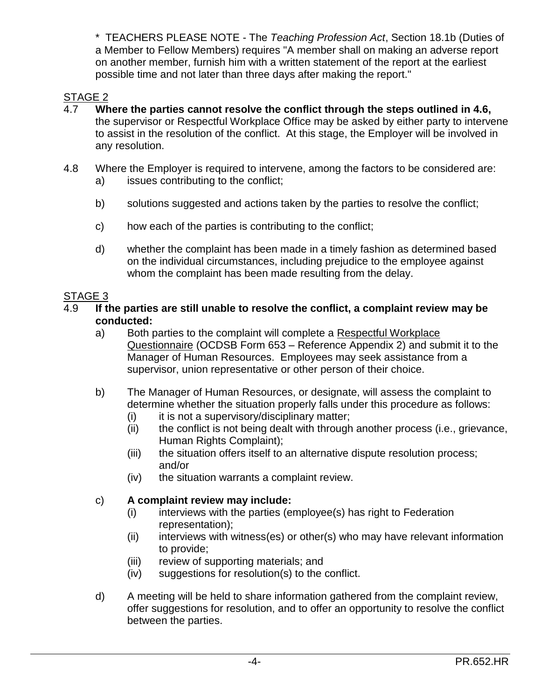\* TEACHERS PLEASE NOTE - The *Teaching Profession Act*, Section 18.1b (Duties of a Member to Fellow Members) requires "A member shall on making an adverse report on another member, furnish him with a written statement of the report at the earliest possible time and not later than three days after making the report."

## STAGE 2

- 4.7 **Where the parties cannot resolve the conflict through the steps outlined in 4.6,** the supervisor or Respectful Workplace Office may be asked by either party to intervene to assist in the resolution of the conflict. At this stage, the Employer will be involved in any resolution.
- 4.8 Where the Employer is required to intervene, among the factors to be considered are: a) issues contributing to the conflict;
	- b) solutions suggested and actions taken by the parties to resolve the conflict;
	- c) how each of the parties is contributing to the conflict;
	- d) whether the complaint has been made in a timely fashion as determined based on the individual circumstances, including prejudice to the employee against whom the complaint has been made resulting from the delay.

### STAGE 3

- 4.9 **If the parties are still unable to resolve the conflict, a complaint review may be conducted:**
	- a) Both parties to the complaint will complete a Respectful Workplace Questionnaire (OCDSB Form 653 – Reference Appendix 2) and submit it to the Manager of Human Resources. Employees may seek assistance from a supervisor, union representative or other person of their choice.
	- b) The Manager of Human Resources, or designate, will assess the complaint to determine whether the situation properly falls under this procedure as follows:
		- (i) it is not a supervisory/disciplinary matter;
		- (ii) the conflict is not being dealt with through another process (i.e., grievance, Human Rights Complaint);
		- (iii) the situation offers itself to an alternative dispute resolution process; and/or
		- (iv) the situation warrants a complaint review.

### c) **A complaint review may include:**

- (i) interviews with the parties (employee(s) has right to Federation representation);
- (ii) interviews with witness(es) or other(s) who may have relevant information to provide;
- (iii) review of supporting materials; and
- (iv) suggestions for resolution(s) to the conflict.
- d) A meeting will be held to share information gathered from the complaint review, offer suggestions for resolution, and to offer an opportunity to resolve the conflict between the parties.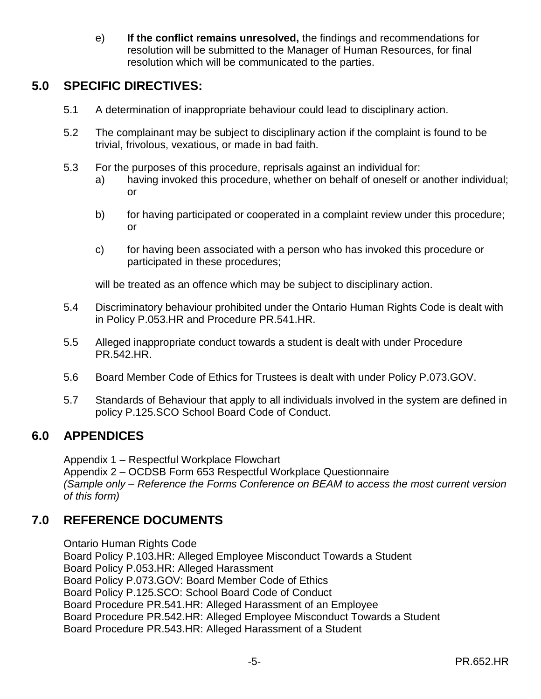e) **If the conflict remains unresolved,** the findings and recommendations for resolution will be submitted to the Manager of Human Resources, for final resolution which will be communicated to the parties.

# **5.0 SPECIFIC DIRECTIVES:**

- 5.1 A determination of inappropriate behaviour could lead to disciplinary action.
- 5.2 The complainant may be subject to disciplinary action if the complaint is found to be trivial, frivolous, vexatious, or made in bad faith.
- 5.3 For the purposes of this procedure, reprisals against an individual for:
	- a) having invoked this procedure, whether on behalf of oneself or another individual; or
	- b) for having participated or cooperated in a complaint review under this procedure; or
	- c) for having been associated with a person who has invoked this procedure or participated in these procedures;

will be treated as an offence which may be subject to disciplinary action.

- 5.4 Discriminatory behaviour prohibited under the Ontario Human Rights Code is dealt with in Policy P.053.HR and Procedure PR.541.HR.
- 5.5 Alleged inappropriate conduct towards a student is dealt with under Procedure PR.542.HR.
- 5.6 Board Member Code of Ethics for Trustees is dealt with under Policy P.073.GOV.
- 5.7 Standards of Behaviour that apply to all individuals involved in the system are defined in policy P.125.SCO School Board Code of Conduct.

## **6.0 APPENDICES**

Appendix 1 – Respectful Workplace Flowchart Appendix 2 – OCDSB Form 653 Respectful Workplace Questionnaire *(Sample only – Reference the Forms Conference on BEAM to access the most current version of this form)*

# **7.0 REFERENCE DOCUMENTS**

Ontario Human Rights Code Board Policy P.103.HR: Alleged Employee Misconduct Towards a Student Board Policy P.053.HR: Alleged Harassment Board Policy P.073.GOV: Board Member Code of Ethics Board Policy P.125.SCO: School Board Code of Conduct Board Procedure PR.541.HR: Alleged Harassment of an Employee Board Procedure PR.542.HR: Alleged Employee Misconduct Towards a Student Board Procedure PR.543.HR: Alleged Harassment of a Student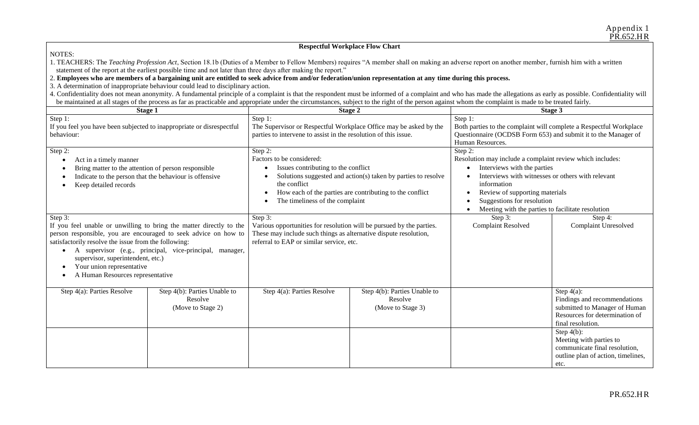#### **Respectful Workplace Flow Chart**

#### NOTES:

1. TEACHERS: The *Teaching Profession Act*, Section 18.1b (Duties of a Member to Fellow Members) requires "A member shall on making an adverse report on another member, furnish him with a written statement of the report at the earliest possible time and not later than three days after making the report."

#### 2. **Employees who are members of a bargaining unit are entitled to seek advice from and/or federation/union representation at any time during this process.**

3. A determination of inappropriate behaviour could lead to disciplinary action.

4. Confidentiality does not mean anonymity. A fundamental principle of a complaint is that the respondent must be informed of a complaint and who has made the allegations as early as possible. Confidentiality will be maintained at all stages of the process as far as practicable and appropriate under the circumstances, subject to the right of the person against whom the complaint is made to be treated fairly.

| Stage 1                                                                                                                                                                                                                                                                                                                                                                         |                                                              | Stage 2                                                                                                                                                                                                                                                     |                                                              | Stage 3                                                                                                                                                                                                                                                                                      |                                                                                                                                       |
|---------------------------------------------------------------------------------------------------------------------------------------------------------------------------------------------------------------------------------------------------------------------------------------------------------------------------------------------------------------------------------|--------------------------------------------------------------|-------------------------------------------------------------------------------------------------------------------------------------------------------------------------------------------------------------------------------------------------------------|--------------------------------------------------------------|----------------------------------------------------------------------------------------------------------------------------------------------------------------------------------------------------------------------------------------------------------------------------------------------|---------------------------------------------------------------------------------------------------------------------------------------|
| Step 1:<br>If you feel you have been subjected to inappropriate or disrespectful<br>behaviour:                                                                                                                                                                                                                                                                                  |                                                              | Step 1:<br>The Supervisor or Respectful Workplace Office may be asked by the<br>parties to intervene to assist in the resolution of this issue.                                                                                                             |                                                              | Step 1:<br>Both parties to the complaint will complete a Respectful Workplace<br>Questionnaire (OCDSB Form 653) and submit it to the Manager of<br>Human Resources.                                                                                                                          |                                                                                                                                       |
| Step 2:<br>Act in a timely manner<br>Bring matter to the attention of person responsible<br>Indicate to the person that the behaviour is offensive<br>Keep detailed records                                                                                                                                                                                                     |                                                              | Step 2:<br>Factors to be considered:<br>Issues contributing to the conflict<br>Solutions suggested and action(s) taken by parties to resolve<br>the conflict<br>How each of the parties are contributing to the conflict<br>The timeliness of the complaint |                                                              | Step 2:<br>Resolution may include a complaint review which includes:<br>Interviews with the parties<br>Interviews with witnesses or others with relevant<br>information<br>Review of supporting materials<br>Suggestions for resolution<br>Meeting with the parties to facilitate resolution |                                                                                                                                       |
| Step 3:<br>If you feel unable or unwilling to bring the matter directly to the<br>person responsible, you are encouraged to seek advice on how to<br>satisfactorily resolve the issue from the following:<br>A supervisor (e.g., principal, vice-principal, manager,<br>٠<br>supervisor, superintendent, etc.)<br>Your union representative<br>A Human Resources representative |                                                              | Step 3:<br>Various opportunities for resolution will be pursued by the parties.<br>These may include such things as alternative dispute resolution,<br>referral to EAP or similar service, etc.                                                             |                                                              | Step 3:<br><b>Complaint Resolved</b>                                                                                                                                                                                                                                                         | Step 4:<br><b>Complaint Unresolved</b>                                                                                                |
| Step 4(a): Parties Resolve                                                                                                                                                                                                                                                                                                                                                      | Step 4(b): Parties Unable to<br>Resolve<br>(Move to Stage 2) | Step 4(a): Parties Resolve                                                                                                                                                                                                                                  | Step 4(b): Parties Unable to<br>Resolve<br>(Move to Stage 3) |                                                                                                                                                                                                                                                                                              | Step $4(a)$ :<br>Findings and recommendations<br>submitted to Manager of Human<br>Resources for determination of<br>final resolution. |
|                                                                                                                                                                                                                                                                                                                                                                                 |                                                              |                                                                                                                                                                                                                                                             |                                                              |                                                                                                                                                                                                                                                                                              | Step $4(b)$ :<br>Meeting with parties to<br>communicate final resolution,<br>outline plan of action, timelines,<br>etc.               |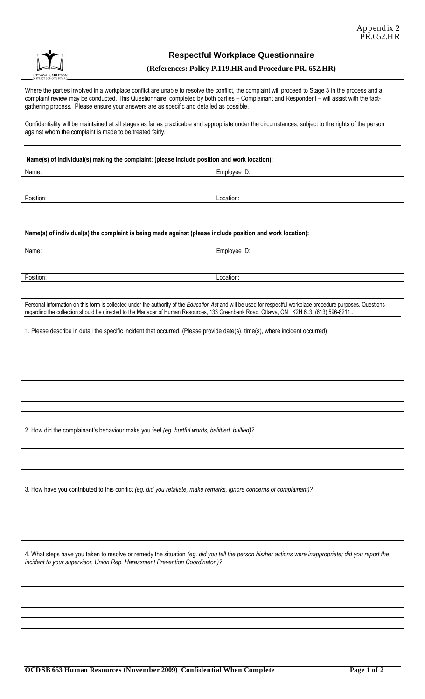

#### **Respectful Workplace Questionnaire**

#### **(References: Policy P.119.HR and Procedure PR. 652.HR)**

Where the parties involved in a workplace conflict are unable to resolve the conflict, the complaint will proceed to Stage 3 in the process and a complaint review may be conducted. This Questionnaire, completed by both parties – Complainant and Respondent – will assist with the factgathering process. Please ensure your answers are as specific and detailed as possible.

Confidentiality will be maintained at all stages as far as practicable and appropriate under the circumstances, subject to the rights of the person against whom the complaint is made to be treated fairly.

#### **Name(s) of individual(s) making the complaint: (please include position and work location):**

| Name:     | Employee ID: |
|-----------|--------------|
|           |              |
|           |              |
| Position: | Location:    |
|           |              |
|           |              |

#### **Name(s) of individual(s) the complaint is being made against (please include position and work location):**

| Name:     | Employee ID: |
|-----------|--------------|
|           |              |
|           |              |
| Position: | Location:    |
|           |              |
|           |              |

Personal information on this form is collected under the authority of the *Education Act* and will be used for respectful workplace procedure purposes. Questions regarding the collection should be directed to the Manager of Human Resources, 133 Greenbank Road, Ottawa, ON K2H 6L3 (613) 596-8211..

1. Please describe in detail the specific incident that occurred. (Please provide date(s), time(s), where incident occurred)

2. How did the complainant's behaviour make you feel *(eg. hurtful words, belittled, bullied)?*

3. How have you contributed to this conflict *(eg. did you retaliate, make remarks, ignore concerns of complainant)?*

4. What steps have you taken to resolve or remedy the situation *(eg. did you tell the person his/her actions were inappropriate; did you report the incident to your supervisor, Union Rep, Harassment Prevention Coordinator )?*